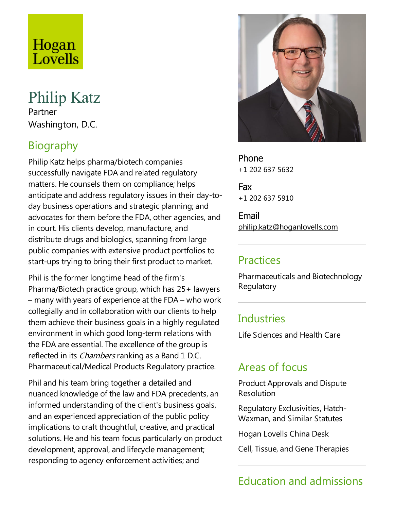# Hogan Lovells

# Philip Katz

Partner Washington, D.C.

# Biography

Philip Katz helps pharma/biotech companies successfully navigate FDA and related regulatory matters. He counsels them on compliance; helps anticipate and address regulatory issues in their day-today business operations and strategic planning; and advocates for them before the FDA, other agencies, and in court. His clients develop, manufacture, and distribute drugs and biologics, spanning from large public companies with extensive product portfolios to start-ups trying to bring their first product to market.

Phil is the former longtime head of the firm's Pharma/Biotech practice group, which has 25+ lawyers  $-$  many with years of experience at the FDA – who work collegially and in collaboration with our clients to help them achieve their business goals in a highly regulated environment in which good long-term relations with the FDA are essential. The excellence of the group is reflected in its *Chambers* ranking as a Band 1 D.C. Pharmaceutical/Medical Products Regulatory practice.

Phil and his team bring together a detailed and nuanced knowledge of the law and FDA precedents, an informed understanding of the client's business goals, and an experienced appreciation of the public policy implications to craft thoughtful, creative, and practical solutions. He and his team focus particularly on product development, approval, and lifecycle management; responding to agency enforcement activities; and



Phone +1 202 637 5632

Fax +1 202 637 5910

Email philip.katz@hoganlovells.com

#### **Practices**

Pharmaceuticals and Biotechnology **Regulatory** 

#### **Industries**

Life Sciences and Health Care

#### Areas of focus

Product Approvals and Dispute Resolution

Regulatory Exclusivities, Hatch-Waxman, and Similar Statutes

Hogan Lovells China Desk

Cell, Tissue, and Gene Therapies

## Education and admissions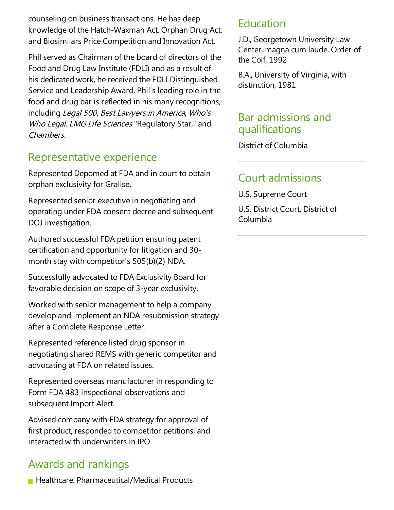counseling on business transactions. He has deep knowledge of the Hatch-Waxman Act, Orphan Drug Act, and Biosimilars Price Competition and Innovation Act.

Phil served as Chairman of the board of directors of the Food and Drug Law Institute (FDLI) and as a result of his dedicated work, he received the FDLI Distinguished Service and Leadership Award. Phil's leading role in the food and drug bar is reflected in his many recognitions, including Legal 500, Best Lawyers in America, Who's Who Legal, LMG Life Sciences "Regulatory Star," and Chambers.

#### Representative experience

Represented Depomed at FDA and in court to obtain orphan exclusivity for Gralise.

Represented senior executive in negotiating and operating under FDA consent decree and subsequent DOJ investigation.

Authored successful FDA petition ensuring patent certification and opportunity for litigation and 30 month stay with competitor's 505(b)(2) NDA.

Successfully advocated to FDA Exclusivity Board for favorable decision on scope of 3-year exclusivity.

Worked with senior management to help a company develop and implement an NDA resubmission strategy after a Complete Response Letter.

Represented reference listed drug sponsor in negotiating shared REMS with generic competitor and advocating at FDA on related issues.

Represented overseas manufacturer in responding to Form FDA 483 inspectional observations and subsequent Import Alert.

Advised company with FDA strategy for approval of first product, responded to competitor petitions, and interacted with underwriters in IPO.

## Awards and rankings

**Healthcare: Pharmaceutical/Medical Products** 

#### Education

J.D., Georgetown University Law Center, magna cum laude, Order of the Coif, 1992

B.A., University of Virginia, with distinction, 1981

#### Bar admissions and qualifications

District of Columbia

#### Court admissions

U.S. Supreme Court U.S. District Court, District of Columbia